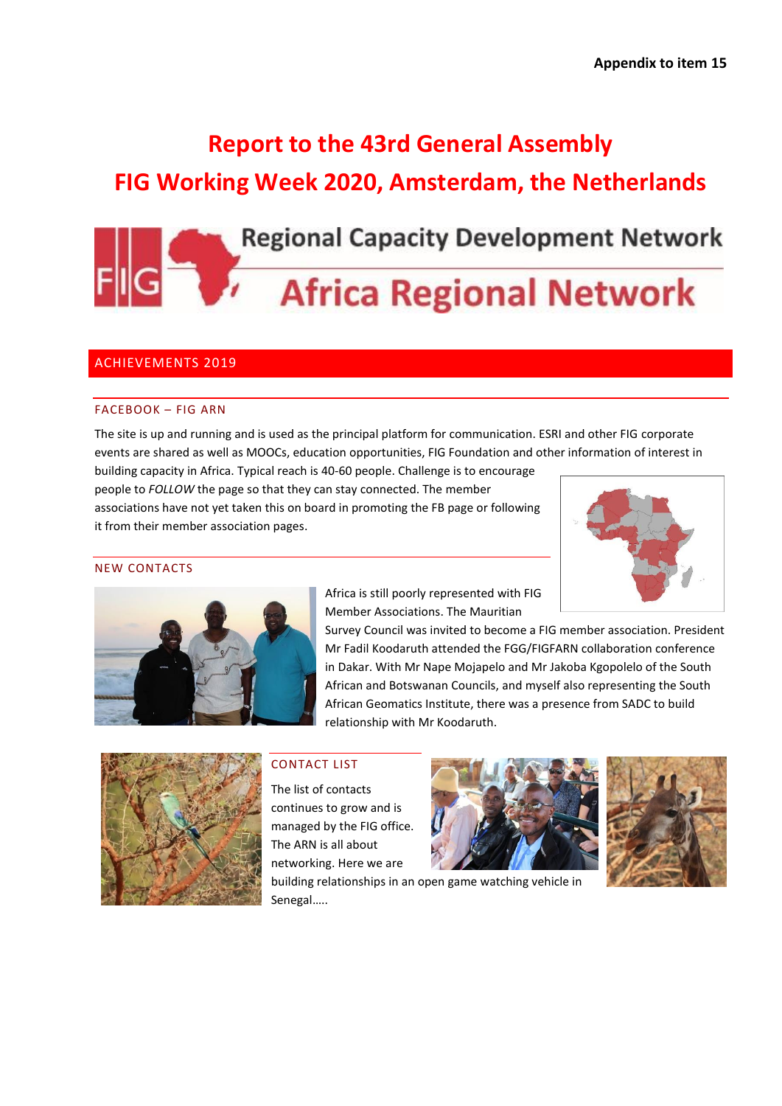# **Report to the 43rd General Assembly FIG Working Week 2020, Amsterdam, the Netherlands**



# **Africa Regional Network**

# ACHIEVEMENTS 2019

## FACEBOOK – FIG ARN

The site is up and running and is used as the principal platform for communication. ESRI and other FIG corporate events are shared as well as MOOCs, education opportunities, FIG Foundation and other information of interest in

building capacity in Africa. Typical reach is 40-60 people. Challenge is to encourage people to *FOLLOW* the page so that they can stay connected. The member associations have not yet taken this on board in promoting the FB page or following it from their member association pages.



#### NEW CONTACTS



Africa is still poorly represented with FIG Member Associations. The Mauritian

Survey Council was invited to become a FIG member association. President Mr Fadil Koodaruth attended the FGG/FIGFARN collaboration conference in Dakar. With Mr Nape Mojapelo and Mr Jakoba Kgopolelo of the South African and Botswanan Councils, and myself also representing the South African Geomatics Institute, there was a presence from SADC to build relationship with Mr Koodaruth.



# CONTACT LIST

The list of contacts continues to grow and is managed by the FIG office. The ARN is all about networking. Here we are





building relationships in an open game watching vehicle in Senegal…..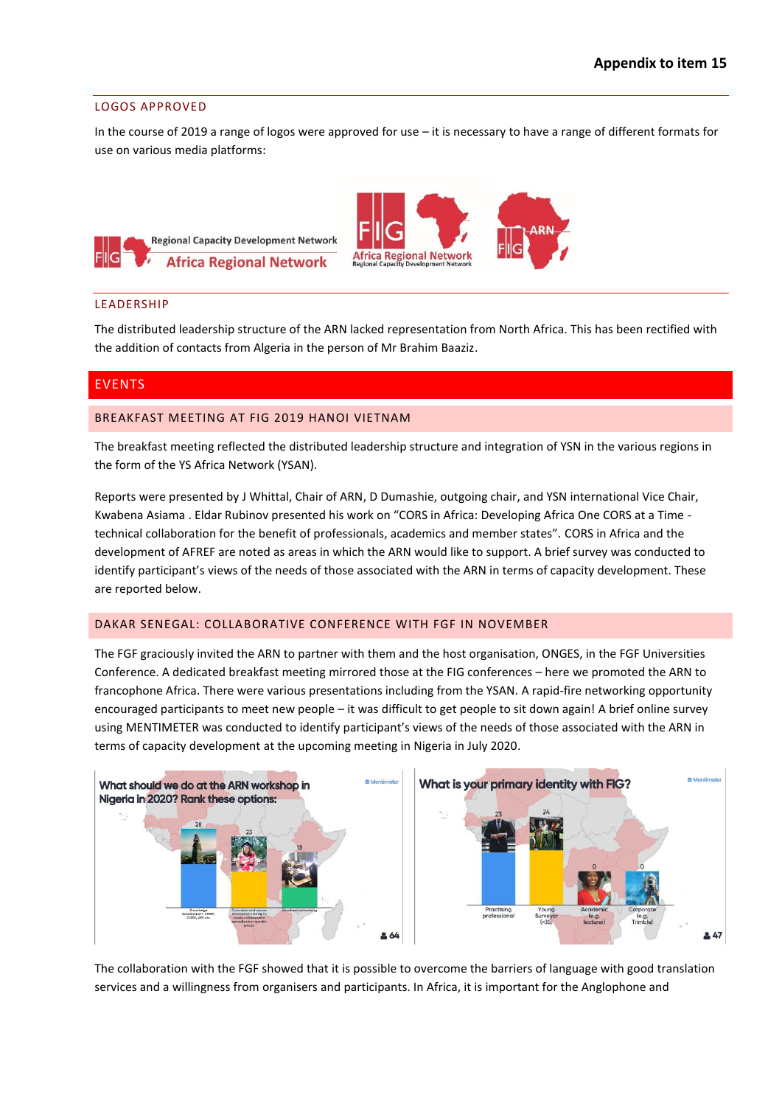#### LOGOS APPROVED

In the course of 2019 a range of logos were approved for use – it is necessary to have a range of different formats for use on various media platforms:





#### LEADERSHIP

The distributed leadership structure of the ARN lacked representation from North Africa. This has been rectified with the addition of contacts from Algeria in the person of Mr Brahim Baaziz.

## EVENTS

#### BREAKFAST MEETING AT FIG 2019 HANOI VIETNAM

The breakfast meeting reflected the distributed leadership structure and integration of YSN in the various regions in the form of the YS Africa Network (YSAN).

Reports were presented by J Whittal, Chair of ARN, D Dumashie, outgoing chair, and YSN international Vice Chair, Kwabena Asiama . Eldar Rubinov presented his work on "CORS in Africa: Developing Africa One CORS at a Time technical collaboration for the benefit of professionals, academics and member states". CORS in Africa and the development of AFREF are noted as areas in which the ARN would like to support. A brief survey was conducted to identify participant's views of the needs of those associated with the ARN in terms of capacity development. These are reported below.

#### DAKAR SENEGAL: COLLABORATIVE CONFERENCE WITH FGF IN NOVEMBER

The FGF graciously invited the ARN to partner with them and the host organisation, ONGES, in the FGF Universities Conference. A dedicated breakfast meeting mirrored those at the FIG conferences – here we promoted the ARN to francophone Africa. There were various presentations including from the YSAN. A rapid-fire networking opportunity encouraged participants to meet new people – it was difficult to get people to sit down again! A brief online survey using MENTIMETER was conducted to identify participant's views of the needs of those associated with the ARN in terms of capacity development at the upcoming meeting in Nigeria in July 2020.



The collaboration with the FGF showed that it is possible to overcome the barriers of language with good translation services and a willingness from organisers and participants. In Africa, it is important for the Anglophone and